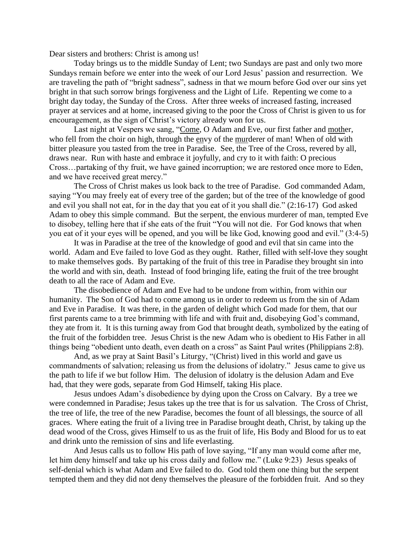Dear sisters and brothers: Christ is among us!

Today brings us to the middle Sunday of Lent; two Sundays are past and only two more Sundays remain before we enter into the week of our Lord Jesus' passion and resurrection. We are traveling the path of "bright sadness", sadness in that we mourn before God over our sins yet bright in that such sorrow brings forgiveness and the Light of Life. Repenting we come to a bright day today, the Sunday of the Cross. After three weeks of increased fasting, increased prayer at services and at home, increased giving to the poor the Cross of Christ is given to us for encouragement, as the sign of Christ's victory already won for us.

Last night at Vespers we sang, "Come, O Adam and Eve, our first father and mother, who fell from the choir on high, through the envy of the murderer of man! When of old with bitter pleasure you tasted from the tree in Paradise. See, the Tree of the Cross, revered by all, draws near. Run with haste and embrace it joyfully, and cry to it with faith: O precious Cross…partaking of thy fruit, we have gained incorruption; we are restored once more to Eden, and we have received great mercy."

The Cross of Christ makes us look back to the tree of Paradise. God commanded Adam, saying "You may freely eat of every tree of the garden; but of the tree of the knowledge of good and evil you shall not eat, for in the day that you eat of it you shall die." (2:16-17) God asked Adam to obey this simple command. But the serpent, the envious murderer of man, tempted Eve to disobey, telling here that if she eats of the fruit "You will not die. For God knows that when you eat of it your eyes will be opened, and you will be like God, knowing good and evil." (3:4-5)

It was in Paradise at the tree of the knowledge of good and evil that sin came into the world. Adam and Eve failed to love God as they ought. Rather, filled with self-love they sought to make themselves gods. By partaking of the fruit of this tree in Paradise they brought sin into the world and with sin, death. Instead of food bringing life, eating the fruit of the tree brought death to all the race of Adam and Eve.

The disobedience of Adam and Eve had to be undone from within, from within our humanity. The Son of God had to come among us in order to redeem us from the sin of Adam and Eve in Paradise. It was there, in the garden of delight which God made for them, that our first parents came to a tree brimming with life and with fruit and, disobeying God's command, they ate from it. It is this turning away from God that brought death, symbolized by the eating of the fruit of the forbidden tree. Jesus Christ is the new Adam who is obedient to His Father in all things being "obedient unto death, even death on a cross" as Saint Paul writes (Philippians 2:8).

And, as we pray at Saint Basil's Liturgy, "(Christ) lived in this world and gave us commandments of salvation; releasing us from the delusions of idolatry." Jesus came to give us the path to life if we but follow Him. The delusion of idolatry is the delusion Adam and Eve had, that they were gods, separate from God Himself, taking His place.

Jesus undoes Adam's disobedience by dying upon the Cross on Calvary. By a tree we were condemned in Paradise; Jesus takes up the tree that is for us salvation. The Cross of Christ, the tree of life, the tree of the new Paradise, becomes the fount of all blessings, the source of all graces. Where eating the fruit of a living tree in Paradise brought death, Christ, by taking up the dead wood of the Cross, gives Himself to us as the fruit of life, His Body and Blood for us to eat and drink unto the remission of sins and life everlasting.

And Jesus calls us to follow His path of love saying, "If any man would come after me, let him deny himself and take up his cross daily and follow me." (Luke 9:23) Jesus speaks of self-denial which is what Adam and Eve failed to do. God told them one thing but the serpent tempted them and they did not deny themselves the pleasure of the forbidden fruit. And so they